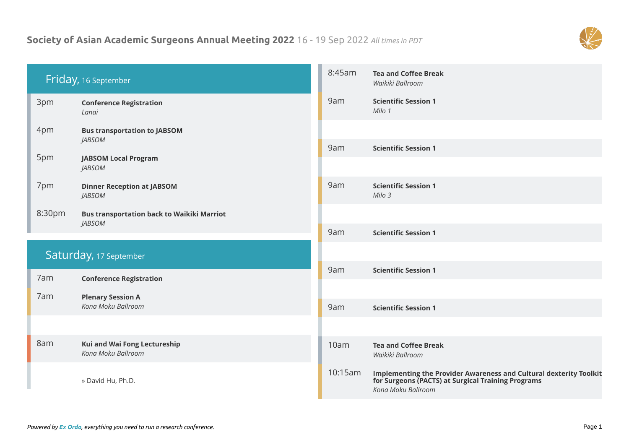## **Society of Asian Academic Surgeons Annual Meeting 2022** 16 - 19 Sep 2022 *All times in PDT*



| Friday, 16 September   |                                                    | 8:45am  | <b>Tea and Coffee Break</b><br>Waikiki Ballroom                                                                                                       |
|------------------------|----------------------------------------------------|---------|-------------------------------------------------------------------------------------------------------------------------------------------------------|
| 3pm                    | <b>Conference Registration</b><br>Lanai            | 9am     | <b>Scientific Session 1</b><br>Milo 1                                                                                                                 |
| 4pm                    | <b>Bus transportation to JABSOM</b>                |         |                                                                                                                                                       |
|                        | <b>JABSOM</b>                                      | 9am     | <b>Scientific Session 1</b>                                                                                                                           |
| 5pm                    | <b>JABSOM Local Program</b><br><b>JABSOM</b>       |         |                                                                                                                                                       |
| 7pm                    | <b>Dinner Reception at JABSOM</b><br><b>JABSOM</b> | 9am     | <b>Scientific Session 1</b><br>Milo 3                                                                                                                 |
| 8:30pm                 | <b>Bus transportation back to Waikiki Marriot</b>  |         |                                                                                                                                                       |
|                        | <b>JABSOM</b>                                      | 9am     | <b>Scientific Session 1</b>                                                                                                                           |
| Saturday, 17 September |                                                    |         |                                                                                                                                                       |
| 7am                    | <b>Conference Registration</b>                     | 9am     | <b>Scientific Session 1</b>                                                                                                                           |
| 7am                    | <b>Plenary Session A</b>                           |         |                                                                                                                                                       |
|                        | Kona Moku Ballroom                                 | 9am     | <b>Scientific Session 1</b>                                                                                                                           |
|                        |                                                    |         |                                                                                                                                                       |
| 8am                    | Kui and Wai Fong Lectureship<br>Kona Moku Ballroom | 10am    | <b>Tea and Coffee Break</b><br>Waikiki Ballroom                                                                                                       |
|                        | » David Hu, Ph.D.                                  | 10:15am | <b>Implementing the Provider Awareness and Cultural dexterity Toolkit</b><br>for Surgeons (PACTS) at Surgical Training Programs<br>Kona Moku Ballroom |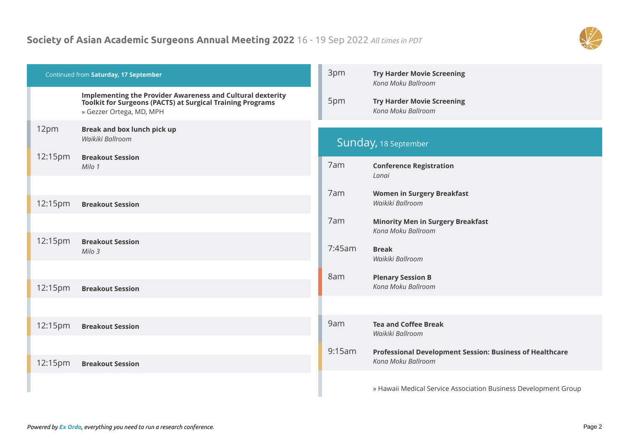## **Society of Asian Academic Surgeons Annual Meeting 2022** 16 - 19 Sep 2022 *All times in PDT*



| Continued from Saturday, 17 September |                                                                                                                                                                    | 3pm    | <b>Try Harder Movie Screening</b><br>Kona Moku Ballroom                        |
|---------------------------------------|--------------------------------------------------------------------------------------------------------------------------------------------------------------------|--------|--------------------------------------------------------------------------------|
|                                       | <b>Implementing the Provider Awareness and Cultural dexterity</b><br><b>Toolkit for Surgeons (PACTS) at Surgical Training Programs</b><br>» Gezzer Ortega, MD, MPH | 5pm    | <b>Try Harder Movie Screening</b><br>Kona Moku Ballroom                        |
| 12pm                                  | <b>Break and box lunch pick up</b><br>Waikiki Ballroom                                                                                                             |        | Sunday, 18 September                                                           |
| 12:15pm                               | <b>Breakout Session</b><br>Milo 1                                                                                                                                  | 7am    | <b>Conference Registration</b><br>Lanai                                        |
| 12:15pm                               | <b>Breakout Session</b>                                                                                                                                            | 7am    | <b>Women in Surgery Breakfast</b><br>Waikiki Ballroom                          |
|                                       |                                                                                                                                                                    | 7am    | <b>Minority Men in Surgery Breakfast</b><br>Kona Moku Ballroom                 |
| 12:15pm                               | <b>Breakout Session</b><br>Milo 3                                                                                                                                  | 7:45am | <b>Break</b><br>Waikiki Ballroom                                               |
|                                       |                                                                                                                                                                    | 8am    | <b>Plenary Session B</b>                                                       |
| 12:15pm                               | <b>Breakout Session</b>                                                                                                                                            |        | Kona Moku Ballroom                                                             |
|                                       |                                                                                                                                                                    |        |                                                                                |
| 12:15pm                               | <b>Breakout Session</b>                                                                                                                                            | 9am    | <b>Tea and Coffee Break</b><br>Waikiki Ballroom                                |
| 12:15pm                               | <b>Breakout Session</b>                                                                                                                                            | 9:15am | Professional Development Session: Business of Healthcare<br>Kona Moku Ballroom |
|                                       |                                                                                                                                                                    |        | » Hawaii Medical Service Association Business Development Group                |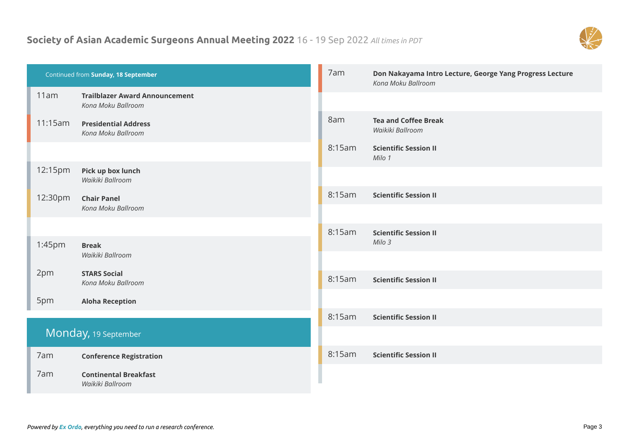## **Society of Asian Academic Surgeons Annual Meeting 2022** 16 - 19 Sep 2022 *All times in PDT*



| Continued from Sunday, 18 September |                                                             | 7am    | Don Nakayama Intro Lecture, George Yang Progress Lecture<br>Kona Moku Ballroom |
|-------------------------------------|-------------------------------------------------------------|--------|--------------------------------------------------------------------------------|
| 11am                                | <b>Trailblazer Award Announcement</b><br>Kona Moku Ballroom |        |                                                                                |
| 11:15am                             | <b>Presidential Address</b><br>Kona Moku Ballroom           | 8am    | <b>Tea and Coffee Break</b><br>Waikiki Ballroom                                |
|                                     |                                                             | 8:15am | <b>Scientific Session II</b><br>Milo 1                                         |
| 12:15pm                             | Pick up box lunch<br>Waikiki Ballroom                       |        |                                                                                |
| 12:30pm                             | <b>Chair Panel</b><br>Kona Moku Ballroom                    | 8:15am | <b>Scientific Session II</b>                                                   |
|                                     |                                                             |        |                                                                                |
|                                     |                                                             | 8:15am | <b>Scientific Session II</b>                                                   |
| 1:45pm                              | <b>Break</b><br>Waikiki Ballroom                            |        | Milo 3                                                                         |
| 2pm                                 | <b>STARS Social</b>                                         |        |                                                                                |
|                                     | Kona Moku Ballroom                                          | 8:15am | <b>Scientific Session II</b>                                                   |
| 5pm                                 | <b>Aloha Reception</b>                                      |        |                                                                                |
|                                     |                                                             | 8:15am | <b>Scientific Session II</b>                                                   |
| Monday, 19 September                |                                                             |        |                                                                                |
| 7am                                 | <b>Conference Registration</b>                              | 8:15am | <b>Scientific Session II</b>                                                   |
| 7am                                 | <b>Continental Breakfast</b><br>Waikiki Ballroom            |        |                                                                                |